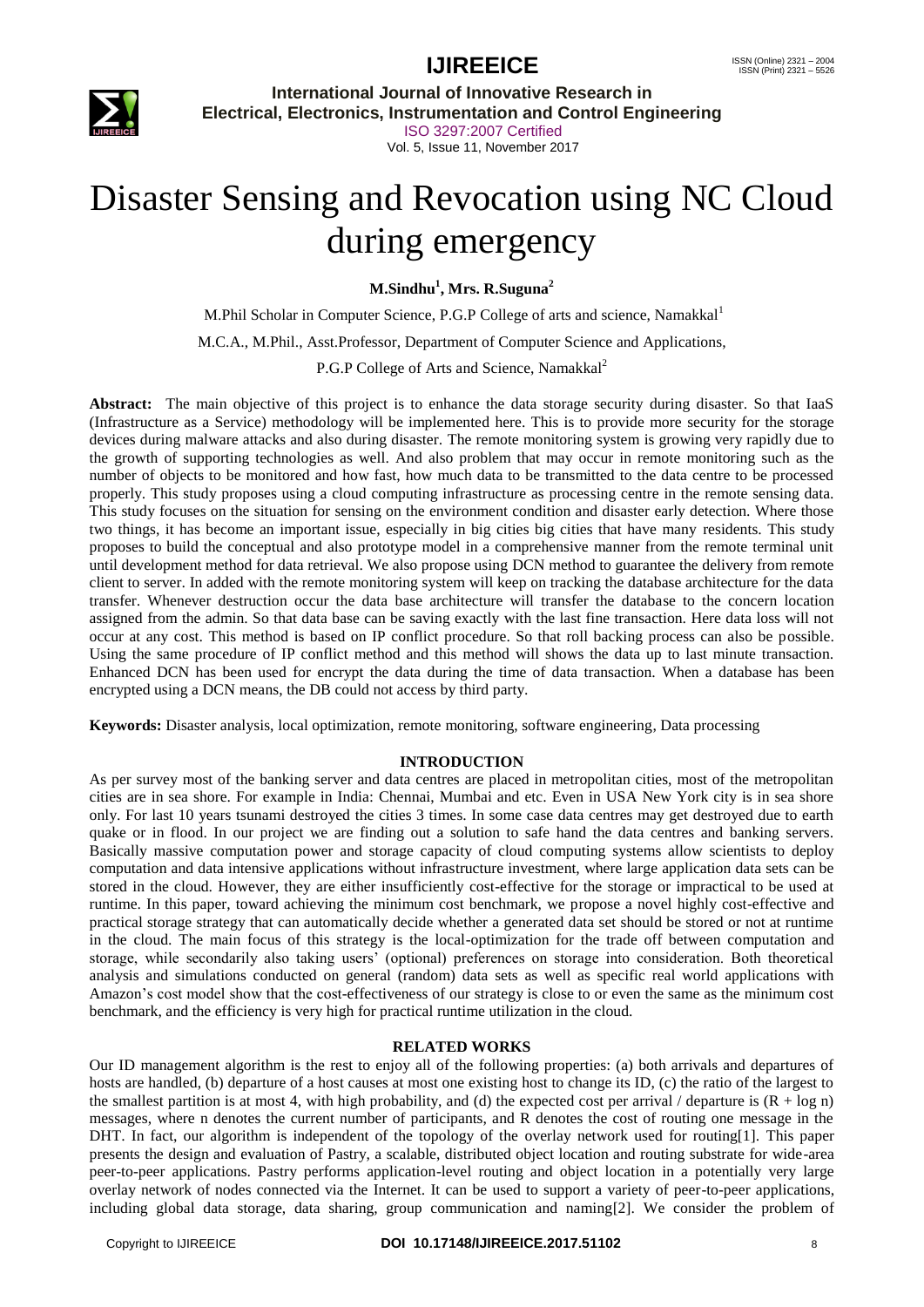

**International Journal of Innovative Research in Electrical, Electronics, Instrumentation and Control Engineering** ISO 3297:2007 Certified Vol. 5, Issue 11, November 2017

# Disaster Sensing and Revocation using NC Cloud during emergency

**M.Sindhu<sup>1</sup> , Mrs. R.Suguna<sup>2</sup>**

M.Phil Scholar in Computer Science, P.G.P College of arts and science, Namakkal<sup>1</sup>

M.C.A., M.Phil., Asst.Professor, Department of Computer Science and Applications,

P.G.P College of Arts and Science, Namakkal<sup>2</sup>

**Abstract:** The main objective of this project is to enhance the data storage security during disaster. So that IaaS (Infrastructure as a Service) methodology will be implemented here. This is to provide more security for the storage devices during malware attacks and also during disaster. The remote monitoring system is growing very rapidly due to the growth of supporting technologies as well. And also problem that may occur in remote monitoring such as the number of objects to be monitored and how fast, how much data to be transmitted to the data centre to be processed properly. This study proposes using a cloud computing infrastructure as processing centre in the remote sensing data. This study focuses on the situation for sensing on the environment condition and disaster early detection. Where those two things, it has become an important issue, especially in big cities big cities that have many residents. This study proposes to build the conceptual and also prototype model in a comprehensive manner from the remote terminal unit until development method for data retrieval. We also propose using DCN method to guarantee the delivery from remote client to server. In added with the remote monitoring system will keep on tracking the database architecture for the data transfer. Whenever destruction occur the data base architecture will transfer the database to the concern location assigned from the admin. So that data base can be saving exactly with the last fine transaction. Here data loss will not occur at any cost. This method is based on IP conflict procedure. So that roll backing process can also be possible. Using the same procedure of IP conflict method and this method will shows the data up to last minute transaction. Enhanced DCN has been used for encrypt the data during the time of data transaction. When a database has been encrypted using a DCN means, the DB could not access by third party.

**Keywords:** Disaster analysis, local optimization, remote monitoring, software engineering, Data processing

#### **INTRODUCTION**

As per survey most of the banking server and data centres are placed in metropolitan cities, most of the metropolitan cities are in sea shore. For example in India: Chennai, Mumbai and etc. Even in USA New York city is in sea shore only. For last 10 years tsunami destroyed the cities 3 times. In some case data centres may get destroyed due to earth quake or in flood. In our project we are finding out a solution to safe hand the data centres and banking servers. Basically massive computation power and storage capacity of cloud computing systems allow scientists to deploy computation and data intensive applications without infrastructure investment, where large application data sets can be stored in the cloud. However, they are either insufficiently cost-effective for the storage or impractical to be used at runtime. In this paper, toward achieving the minimum cost benchmark, we propose a novel highly cost-effective and practical storage strategy that can automatically decide whether a generated data set should be stored or not at runtime in the cloud. The main focus of this strategy is the local-optimization for the trade off between computation and storage, while secondarily also taking users' (optional) preferences on storage into consideration. Both theoretical analysis and simulations conducted on general (random) data sets as well as specific real world applications with Amazon's cost model show that the cost-effectiveness of our strategy is close to or even the same as the minimum cost benchmark, and the efficiency is very high for practical runtime utilization in the cloud.

#### **RELATED WORKS**

Our ID management algorithm is the rest to enjoy all of the following properties: (a) both arrivals and departures of hosts are handled, (b) departure of a host causes at most one existing host to change its ID, (c) the ratio of the largest to the smallest partition is at most 4, with high probability, and (d) the expected cost per arrival / departure is  $(R + \log n)$ messages, where n denotes the current number of participants, and R denotes the cost of routing one message in the DHT. In fact, our algorithm is independent of the topology of the overlay network used for routing[1]. This paper presents the design and evaluation of Pastry, a scalable, distributed object location and routing substrate for wide-area peer-to-peer applications. Pastry performs application-level routing and object location in a potentially very large overlay network of nodes connected via the Internet. It can be used to support a variety of peer-to-peer applications, including global data storage, data sharing, group communication and naming[2]. We consider the problem of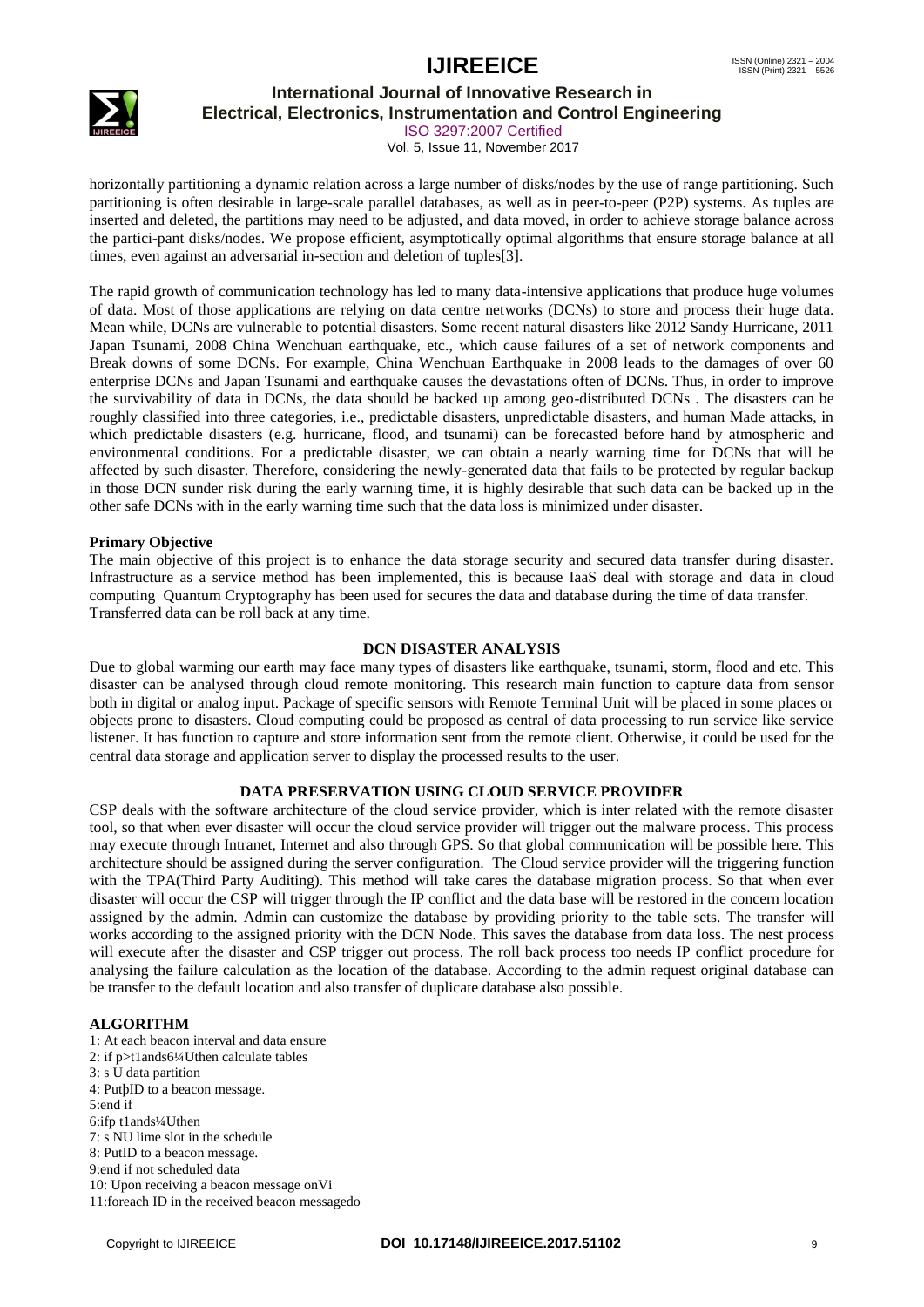

### **International Journal of Innovative Research in**

**Electrical, Electronics, Instrumentation and Control Engineering**

ISO 3297:2007 Certified Vol. 5, Issue 11, November 2017

horizontally partitioning a dynamic relation across a large number of disks/nodes by the use of range partitioning. Such partitioning is often desirable in large-scale parallel databases, as well as in peer-to-peer (P2P) systems. As tuples are inserted and deleted, the partitions may need to be adjusted, and data moved, in order to achieve storage balance across the partici-pant disks/nodes. We propose efficient, asymptotically optimal algorithms that ensure storage balance at all times, even against an adversarial in-section and deletion of tuples[3].

The rapid growth of communication technology has led to many data-intensive applications that produce huge volumes of data. Most of those applications are relying on data centre networks (DCNs) to store and process their huge data. Mean while, DCNs are vulnerable to potential disasters. Some recent natural disasters like 2012 Sandy Hurricane, 2011 Japan Tsunami, 2008 China Wenchuan earthquake, etc., which cause failures of a set of network components and Break downs of some DCNs. For example, China Wenchuan Earthquake in 2008 leads to the damages of over 60 enterprise DCNs and Japan Tsunami and earthquake causes the devastations often of DCNs. Thus, in order to improve the survivability of data in DCNs, the data should be backed up among geo-distributed DCNs . The disasters can be roughly classified into three categories, i.e., predictable disasters, unpredictable disasters, and human Made attacks, in which predictable disasters (e.g. hurricane, flood, and tsunami) can be forecasted before hand by atmospheric and environmental conditions. For a predictable disaster, we can obtain a nearly warning time for DCNs that will be affected by such disaster. Therefore, considering the newly-generated data that fails to be protected by regular backup in those DCN sunder risk during the early warning time, it is highly desirable that such data can be backed up in the other safe DCNs with in the early warning time such that the data loss is minimized under disaster.

#### **Primary Objective**

The main objective of this project is to enhance the data storage security and secured data transfer during disaster. Infrastructure as a service method has been implemented, this is because IaaS deal with storage and data in cloud computing Quantum Cryptography has been used for secures the data and database during the time of data transfer. Transferred data can be roll back at any time.

#### **DCN DISASTER ANALYSIS**

Due to global warming our earth may face many types of disasters like earthquake, tsunami, storm, flood and etc. This disaster can be analysed through cloud remote monitoring. This research main function to capture data from sensor both in digital or analog input. Package of specific sensors with Remote Terminal Unit will be placed in some places or objects prone to disasters. Cloud computing could be proposed as central of data processing to run service like service listener. It has function to capture and store information sent from the remote client. Otherwise, it could be used for the central data storage and application server to display the processed results to the user.

#### **DATA PRESERVATION USING CLOUD SERVICE PROVIDER**

CSP deals with the software architecture of the cloud service provider, which is inter related with the remote disaster tool, so that when ever disaster will occur the cloud service provider will trigger out the malware process. This process may execute through Intranet, Internet and also through GPS. So that global communication will be possible here. This architecture should be assigned during the server configuration. The Cloud service provider will the triggering function with the TPA(Third Party Auditing). This method will take cares the database migration process. So that when ever disaster will occur the CSP will trigger through the IP conflict and the data base will be restored in the concern location assigned by the admin. Admin can customize the database by providing priority to the table sets. The transfer will works according to the assigned priority with the DCN Node. This saves the database from data loss. The nest process will execute after the disaster and CSP trigger out process. The roll back process too needs IP conflict procedure for analysing the failure calculation as the location of the database. According to the admin request original database can be transfer to the default location and also transfer of duplicate database also possible.

#### **ALGORITHM**

1: At each beacon interval and data ensure 2: if p>t1ands6¼Uthen calculate tables 3: s U data partition 4: PutþID to a beacon message. 5:end if 6:ifp t1ands¼Uthen 7: s NU lime slot in the schedule 8: PutID to a beacon message. 9:end if not scheduled data 10: Upon receiving a beacon message onVi 11:foreach ID in the received beacon messagedo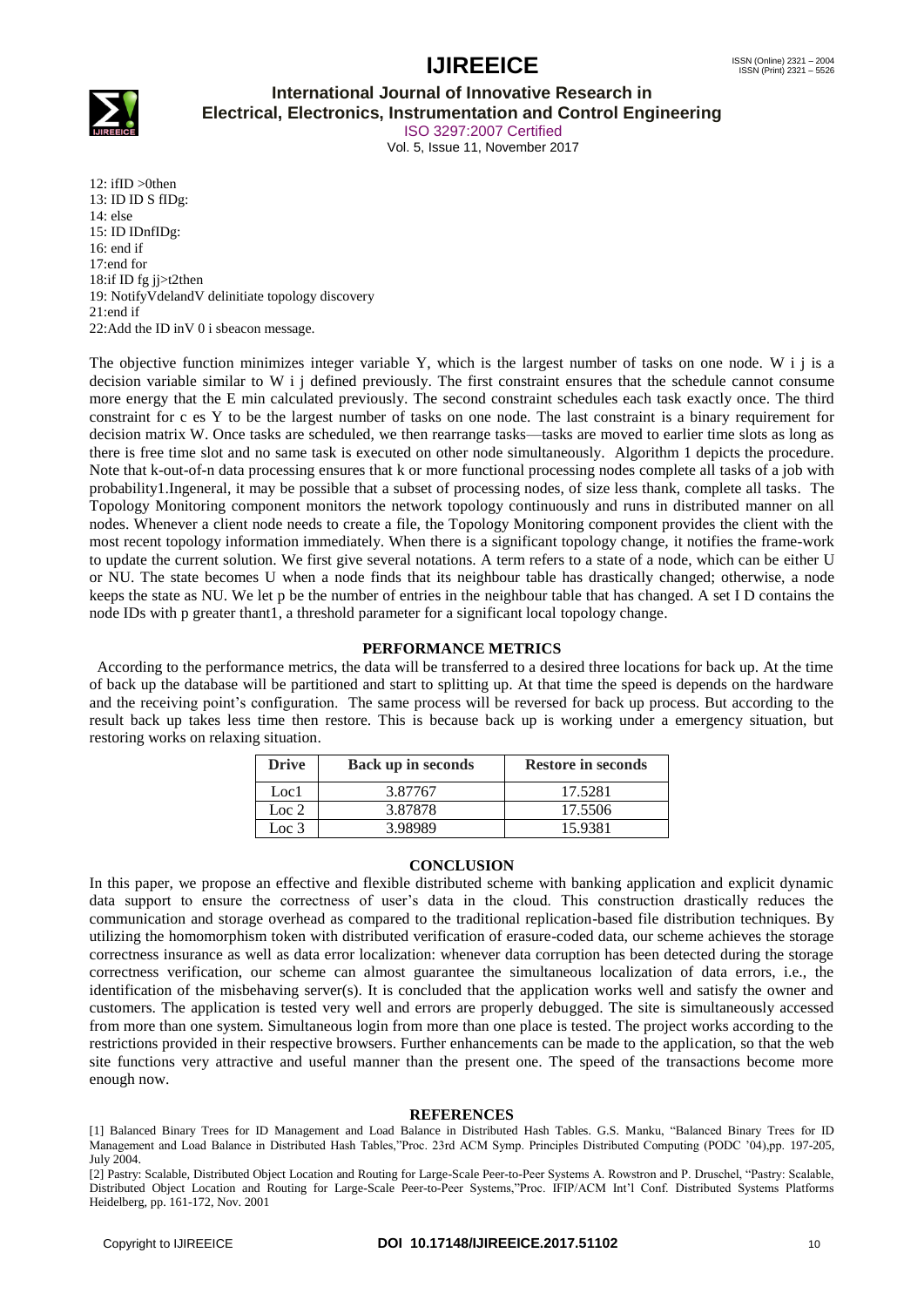

**International Journal of Innovative Research in**

**Electrical, Electronics, Instrumentation and Control Engineering**

ISO 3297:2007 Certified Vol. 5, Issue 11, November 2017

12: ifID >0then 13: ID ID S fIDg: 14: else 15: ID IDnfIDg: 16: end if 17:end for 18:if ID fg jj>t2then 19: NotifyVdelandV delinitiate topology discovery 21:end if 22:Add the ID inV 0 i sbeacon message.

The objective function minimizes integer variable Y, which is the largest number of tasks on one node. W i j is a decision variable similar to W i j defined previously. The first constraint ensures that the schedule cannot consume more energy that the E min calculated previously. The second constraint schedules each task exactly once. The third constraint for c es Y to be the largest number of tasks on one node. The last constraint is a binary requirement for decision matrix W. Once tasks are scheduled, we then rearrange tasks—tasks are moved to earlier time slots as long as there is free time slot and no same task is executed on other node simultaneously. Algorithm 1 depicts the procedure. Note that k-out-of-n data processing ensures that k or more functional processing nodes complete all tasks of a job with probability1.Ingeneral, it may be possible that a subset of processing nodes, of size less thank, complete all tasks. The Topology Monitoring component monitors the network topology continuously and runs in distributed manner on all nodes. Whenever a client node needs to create a file, the Topology Monitoring component provides the client with the most recent topology information immediately. When there is a significant topology change, it notifies the frame-work to update the current solution. We first give several notations. A term refers to a state of a node, which can be either U or NU. The state becomes U when a node finds that its neighbour table has drastically changed; otherwise, a node keeps the state as NU. We let p be the number of entries in the neighbour table that has changed. A set I D contains the node IDs with p greater thant1, a threshold parameter for a significant local topology change.

#### **PERFORMANCE METRICS**

 According to the performance metrics, the data will be transferred to a desired three locations for back up. At the time of back up the database will be partitioned and start to splitting up. At that time the speed is depends on the hardware and the receiving point's configuration. The same process will be reversed for back up process. But according to the result back up takes less time then restore. This is because back up is working under a emergency situation, but restoring works on relaxing situation.

| <b>Drive</b> | <b>Back up in seconds</b> | <b>Restore in seconds</b> |
|--------------|---------------------------|---------------------------|
| Loc1         | 3.87767                   | 17.5281                   |
| Loc $2$      | 3.87878                   | 17.5506                   |
| Loc 3        | 398989                    | 15.9381                   |

#### **CONCLUSION**

In this paper, we propose an effective and flexible distributed scheme with banking application and explicit dynamic data support to ensure the correctness of user's data in the cloud. This construction drastically reduces the communication and storage overhead as compared to the traditional replication-based file distribution techniques. By utilizing the homomorphism token with distributed verification of erasure-coded data, our scheme achieves the storage correctness insurance as well as data error localization: whenever data corruption has been detected during the storage correctness verification, our scheme can almost guarantee the simultaneous localization of data errors, i.e., the identification of the misbehaving server(s). It is concluded that the application works well and satisfy the owner and customers. The application is tested very well and errors are properly debugged. The site is simultaneously accessed from more than one system. Simultaneous login from more than one place is tested. The project works according to the restrictions provided in their respective browsers. Further enhancements can be made to the application, so that the web site functions very attractive and useful manner than the present one. The speed of the transactions become more enough now.

#### **REFERENCES**

[1] Balanced Binary Trees for ID Management and Load Balance in Distributed Hash Tables. G.S. Manku, "Balanced Binary Trees for ID Management and Load Balance in Distributed Hash Tables,"Proc. 23rd ACM Symp. Principles Distributed Computing (PODC '04),pp. 197-205, July 2004.

[2] Pastry: Scalable, Distributed Object Location and Routing for Large-Scale Peer-to-Peer Systems A. Rowstron and P. Druschel, "Pastry: Scalable, Distributed Object Location and Routing for Large-Scale Peer-to-Peer Systems,"Proc. IFIP/ACM Int'l Conf. Distributed Systems Platforms Heidelberg, pp. 161-172, Nov. 2001